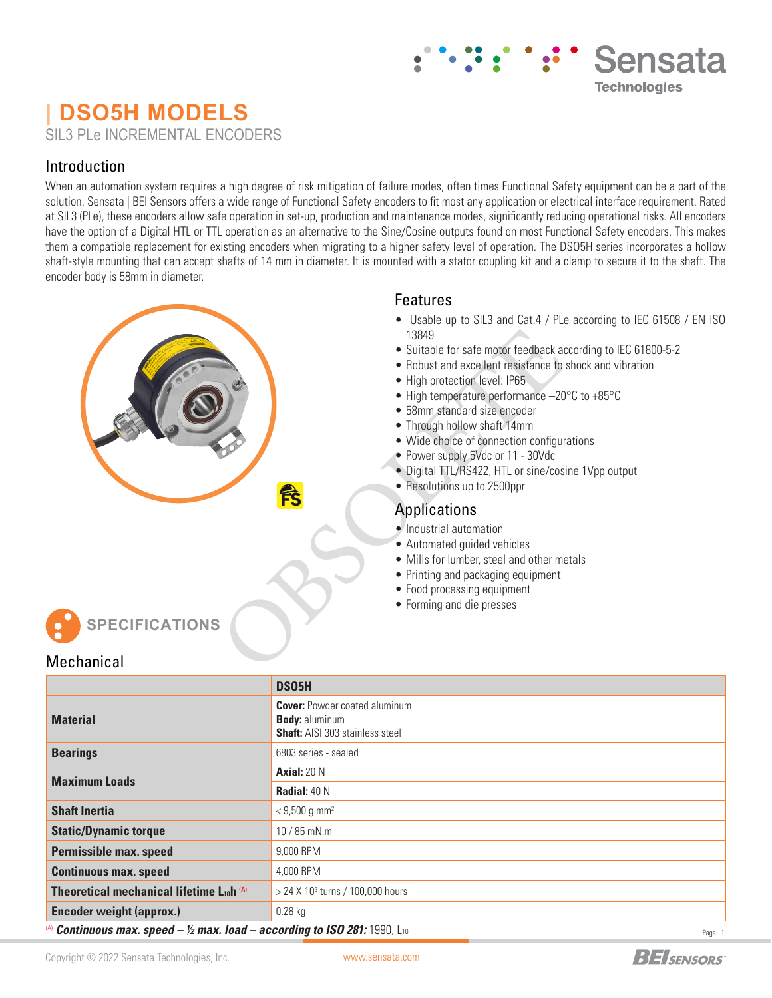# **| DSO5H MODELS** SIL3 PLe INCREMENTAL ENCODERS

## Introduction

When an automation system requires a high degree of risk mitigation of failure modes, often times Functional Safety equipment can be a part of the solution. Sensata | BEI Sensors offers a wide range of Functional Safety encoders to fit most any application or electrical interface requirement. Rated at SIL3 (PLe), these encoders allow safe operation in set-up, production and maintenance modes, significantly reducing operational risks. All encoders have the option of a Digital HTL or TTL operation as an alternative to the Sine/Cosine outputs found on most Functional Safety encoders. This makes them a compatible replacement for existing encoders when migrating to a higher safety level of operation. The DSO5H series incorporates a hollow shaft-style mounting that can accept shafts of 14 mm in diameter. It is mounted with a stator coupling kit and a clamp to secure it to the shaft. The encoder body is 58mm in diameter.

### Features

• Usable up to SIL3 and Cat.4 / PLe according to IEC 61508 / EN ISO 13849 13849<br>
• Suitable for safe motor feedback a<br>
• Robust and excellent resistance to<br>
• High protection level: IP65<br>
• High temperature performance −20<br>
• 58mm standard size encoder<br>
• Through hollow shaft 14mm<br>
• Wide choic

Sensata

**Technologies** 

- Suitable for safe motor feedback according to IEC 61800-5-2
- Robust and excellent resistance to shock and vibration
- High protection level: IP65
- High temperature performance –20°C to +85°C
- 58mm standard size encoder
- Through hollow shaft 14mm
- Wide choice of connection configurations
- Power supply 5Vdc or 11 30Vdc
- Digital TTL/RS422, HTL or sine/cosine 1Vpp output
- Resolutions up to 2500ppr

## Applications

- Industrial automation
- Automated guided vehicles
- Mills for lumber, steel and other metals
- Printing and packaging equipment
- Food processing equipment
- 

**SPECIFICATIONS**

### Mechanical

|                                                       | DS05H                                                                                                   |
|-------------------------------------------------------|---------------------------------------------------------------------------------------------------------|
| <b>Material</b>                                       | <b>Cover:</b> Powder coated aluminum<br><b>Body: aluminum</b><br><b>Shaft:</b> AISI 303 stainless steel |
| <b>Bearings</b>                                       | 6803 series - sealed                                                                                    |
| <b>Maximum Loads</b>                                  | <b>Axial:</b> $20 N$                                                                                    |
|                                                       | <b>Radial:</b> $40 N$                                                                                   |
| <b>Shaft Inertia</b>                                  | $<$ 9,500 g.mm <sup>2</sup>                                                                             |
| <b>Static/Dynamic torque</b>                          | $10/85$ mN.m                                                                                            |
| <b>Permissible max. speed</b>                         | 9.000 RPM                                                                                               |
| <b>Continuous max. speed</b>                          | 4.000 RPM                                                                                               |
| Theoretical mechanical lifetime L <sub>10</sub> h (A) | $>$ 24 X 10 <sup>9</sup> turns / 100,000 hours                                                          |
| <b>Encoder weight (approx.)</b>                       | $0.28$ kg                                                                                               |

(A) *Continuous max. speed – ½ max. load – according to ISO 281:* 1990, L10

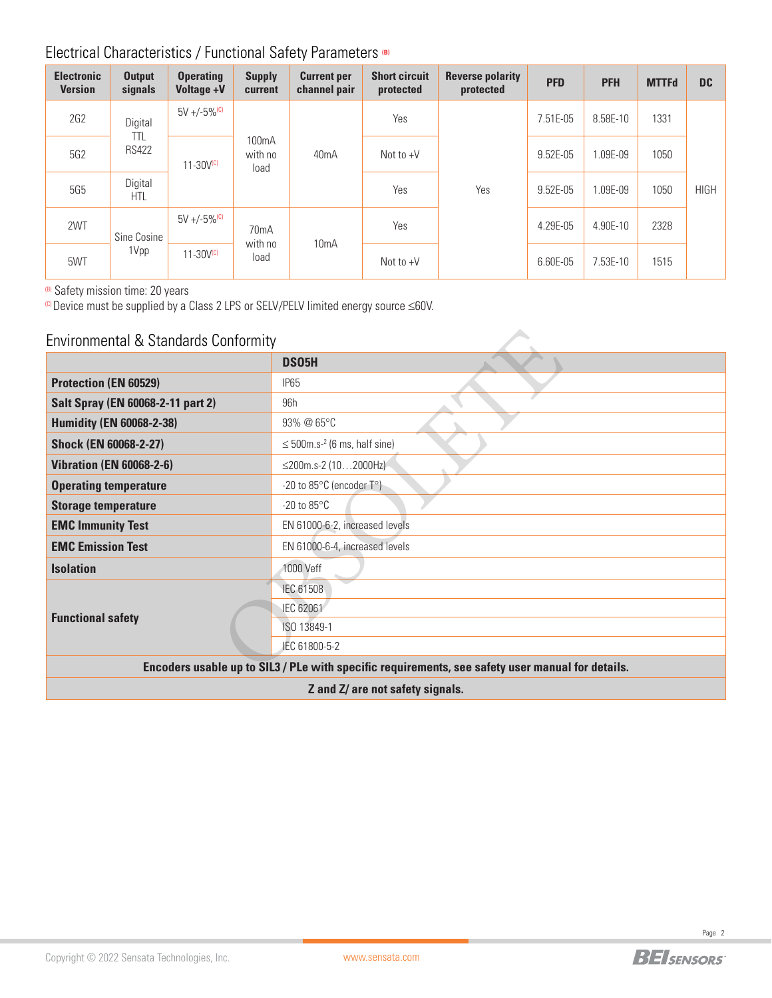## Electrical Characteristics / Functional Safety Parameters **(B)**

| <b>Electronic</b><br><b>Version</b> | <b>Output</b><br>signals | <b>Operating</b><br><b>Voltage +V</b>                  | <b>Supply</b><br>current     | <b>Current per</b><br>channel pair | <b>Short circuit</b><br>protected | <b>Reverse polarity</b><br>protected | <b>PFD</b> | <b>PFH</b> | <b>MTTFd</b> | <b>DC</b>   |
|-------------------------------------|--------------------------|--------------------------------------------------------|------------------------------|------------------------------------|-----------------------------------|--------------------------------------|------------|------------|--------------|-------------|
| 2G2                                 | Digital<br>ttl           | $5V + (-5\%^{(c)}$                                     |                              |                                    | Yes                               |                                      | 7.51E-05   | 8.58E-10   | 1331         |             |
| 5G2                                 | <b>RS422</b>             | 100 <sub>m</sub> A<br>with no<br>$11 - 30V(c)$<br>load | 40 <sub>m</sub> A            | Not to $+V$                        |                                   | 9.52E-05                             | .09E-09    | 1050       |              |             |
| <b>5G5</b>                          | Digital<br><b>HTL</b>    |                                                        |                              |                                    | Yes                               | Yes                                  | 9.52E-05   | .09E-09    | 1050         | <b>HIGH</b> |
| 2WT                                 | Sine Cosine              | $5V + (-5\%$ <sup>(C)</sup>                            | 70 <sub>m</sub> A<br>with no |                                    | Yes                               |                                      | 4.29E-05   | 4.90E-10   | 2328         |             |
| 5WT                                 | 1Vpp                     | $11 - 30V(C)$                                          | load                         | 10mA                               | Not to $+V$                       |                                      | 6.60E-05   | 7.53E-10   | 1515         |             |

(B) Safety mission time: 20 years

(C) Device must be supplied by a Class 2 LPS or SELV/PELV limited energy source ≤60V.

| Environmental & Standards Conformity |                                                                                                  |  |  |  |  |  |  |
|--------------------------------------|--------------------------------------------------------------------------------------------------|--|--|--|--|--|--|
|                                      | DS05H                                                                                            |  |  |  |  |  |  |
| <b>Protection (EN 60529)</b>         | <b>IP65</b>                                                                                      |  |  |  |  |  |  |
| Salt Spray (EN 60068-2-11 part 2)    | 96h                                                                                              |  |  |  |  |  |  |
| <b>Humidity (EN 60068-2-38)</b>      | 93% @ 65°C                                                                                       |  |  |  |  |  |  |
| <b>Shock (EN 60068-2-27)</b>         | $\leq$ 500m.s <sup>-2</sup> (6 ms, half sine)                                                    |  |  |  |  |  |  |
| <b>Vibration (EN 60068-2-6)</b>      | ≤200m.s-2 (102000Hz)                                                                             |  |  |  |  |  |  |
| <b>Operating temperature</b>         | -20 to 85°C (encoder T°)                                                                         |  |  |  |  |  |  |
| <b>Storage temperature</b>           | $-20$ to $85^{\circ}$ C                                                                          |  |  |  |  |  |  |
| <b>EMC Immunity Test</b>             | EN 61000-6-2, increased levels                                                                   |  |  |  |  |  |  |
| <b>EMC Emission Test</b>             | EN 61000-6-4, increased levels                                                                   |  |  |  |  |  |  |
| <b>Isolation</b>                     | 1000 Veff                                                                                        |  |  |  |  |  |  |
|                                      | IEC 61508                                                                                        |  |  |  |  |  |  |
|                                      | IEC 62061                                                                                        |  |  |  |  |  |  |
| <b>Functional safety</b>             | ISO 13849-1                                                                                      |  |  |  |  |  |  |
|                                      | JEC 61800-5-2                                                                                    |  |  |  |  |  |  |
|                                      | Encoders usable up to SIL3 / PLe with specific requirements, see safety user manual for details. |  |  |  |  |  |  |
|                                      | Z and Z/ are not safety signals.                                                                 |  |  |  |  |  |  |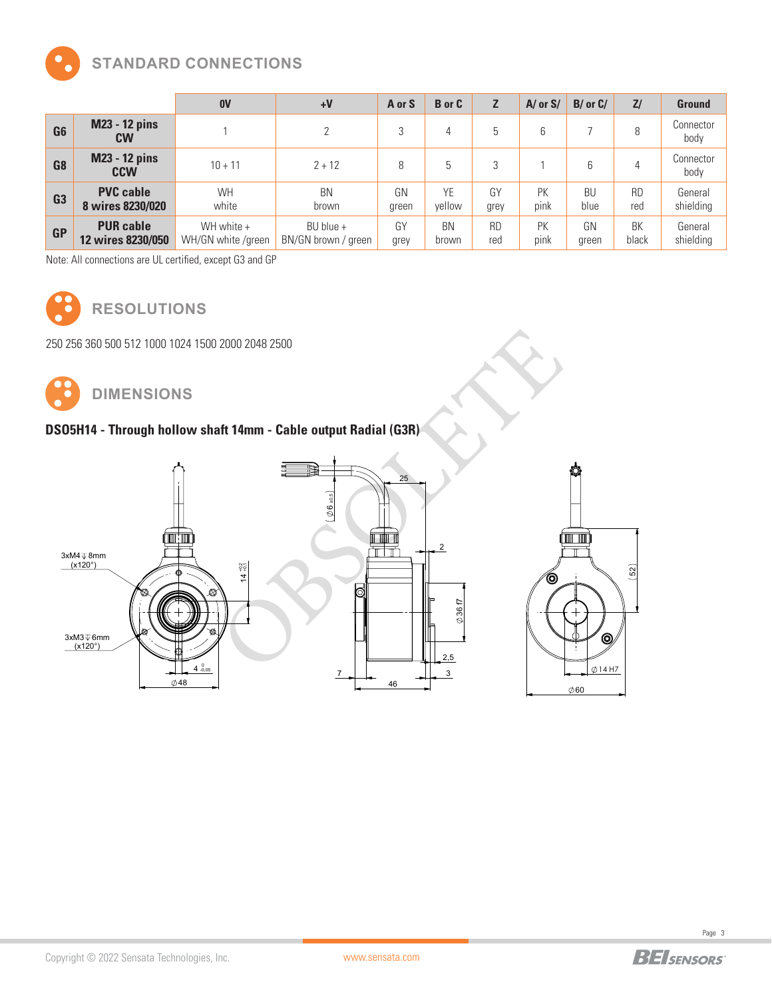

## **STANDARD CONNECTIONS**

|                |                                       | 0V                               | $+V$                               | A or S      | <b>B</b> or C      |                  | $A/\text{ or }S/$ | $B/$ or $C/$      | Z/               | <b>Ground</b>        |
|----------------|---------------------------------------|----------------------------------|------------------------------------|-------------|--------------------|------------------|-------------------|-------------------|------------------|----------------------|
| G <sub>6</sub> | <b>M23 - 12 pins</b><br><b>CW</b>     |                                  | $\mathcal{D}$                      | 3           | 4                  | 5                | 6                 |                   | 8                | Connector<br>body    |
| G <sub>8</sub> | <b>M23 - 12 pins</b><br><b>CCW</b>    | $10 + 11$                        | $2 + 12$                           | 8           |                    | 3                |                   | 6                 | 4                | Connector<br>body    |
| G <sub>3</sub> | <b>PVC cable</b><br>8 wires 8230/020  | <b>WH</b><br>white               | <b>BN</b><br>brown                 | GN<br>green | YE<br>vellow       | GY<br>grey       | PK<br>pink        | <b>BU</b><br>blue | <b>RD</b><br>red | General<br>shielding |
| <b>GP</b>      | <b>PUR cable</b><br>12 wires 8230/050 | WH white +<br>WH/GN white /green | BU blue $+$<br>BN/GN brown / green | GY<br>grey  | <b>BN</b><br>brown | <b>RD</b><br>red | PK<br>pink        | GN<br>green       | BK<br>black      | General<br>shielding |

Note: All connections are UL certified, except G3 and GP



**RESOLUTIONS**

250 256 360 500 512 1000 1024 1500 2000 2048 2500



## **DSO5H14 - Through hollow shaft 14mm - Cable output Radial (G3R)**



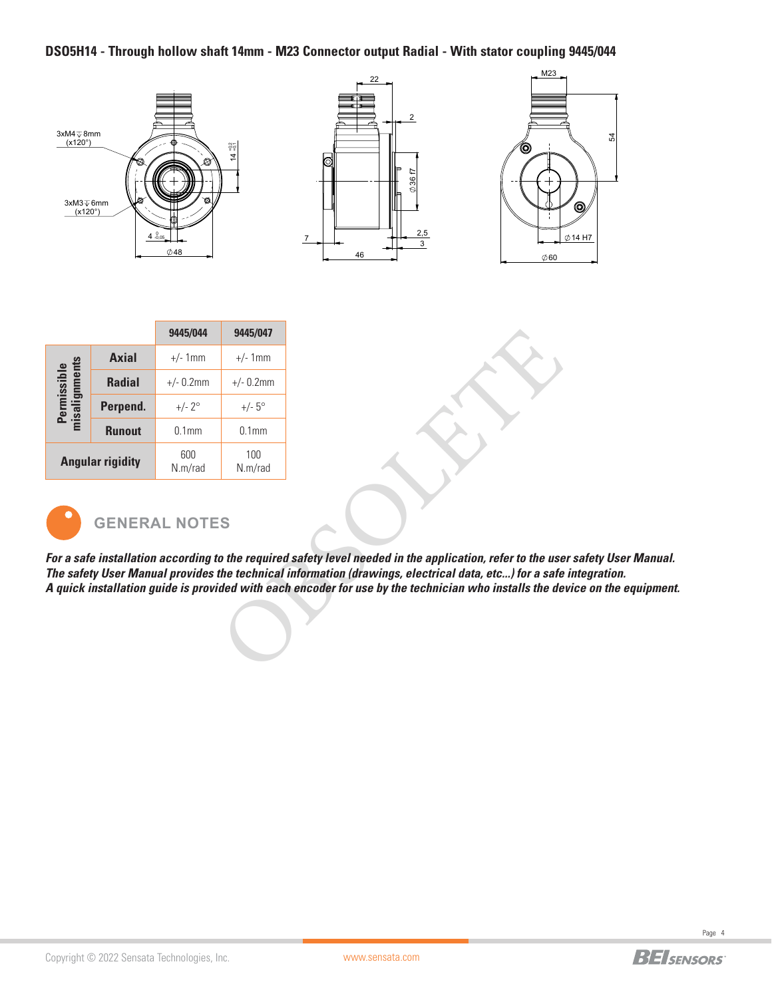### **DSO5H14 - Through hollow shaft 14mm - M23 Connector output Radial - With stator coupling 9445/044**



|                                     |                         | 9445/044          | 9445/047          |
|-------------------------------------|-------------------------|-------------------|-------------------|
| gnments<br>iissible<br>misalio<br>혼 | <b>Axial</b>            | $+/- 1$ mm        | $+/- 1$ mm        |
|                                     | <b>Radial</b>           | $+/- 0.2$ mm      | $+/- 0.2$ mm      |
|                                     | Perpend.                | $+/- 2^{\circ}$   | $+/- 5^{\circ}$   |
|                                     | <b>Runout</b>           | 0.1 <sub>mm</sub> | 0.1 <sub>mm</sub> |
|                                     | <b>Angular rigidity</b> | 600<br>N.m/rad    | 100<br>N.m/rad    |



# **GENERAL NOTES**

*For a safe installation according to the required safety level needed in the application, refer to the user safety User Manual. The safety User Manual provides the technical information (drawings, electrical data, etc...) for a safe integration. A quick installation guide is provided with each encoder for use by the technician who installs the device on the equipment.* 9445/047<br>  $+/- 1 mm$ <br>  $+/- 0.2 mm$ <br>  $+/- 5°$ <br>
0.1mm<br>
100<br>
N.m/rad<br>
So the required safety level needed in the application, refer to the use<br>
the technical information (drawings, electrical data, etc...) for a safe<br>
ded with each

System system in the system of the system of the system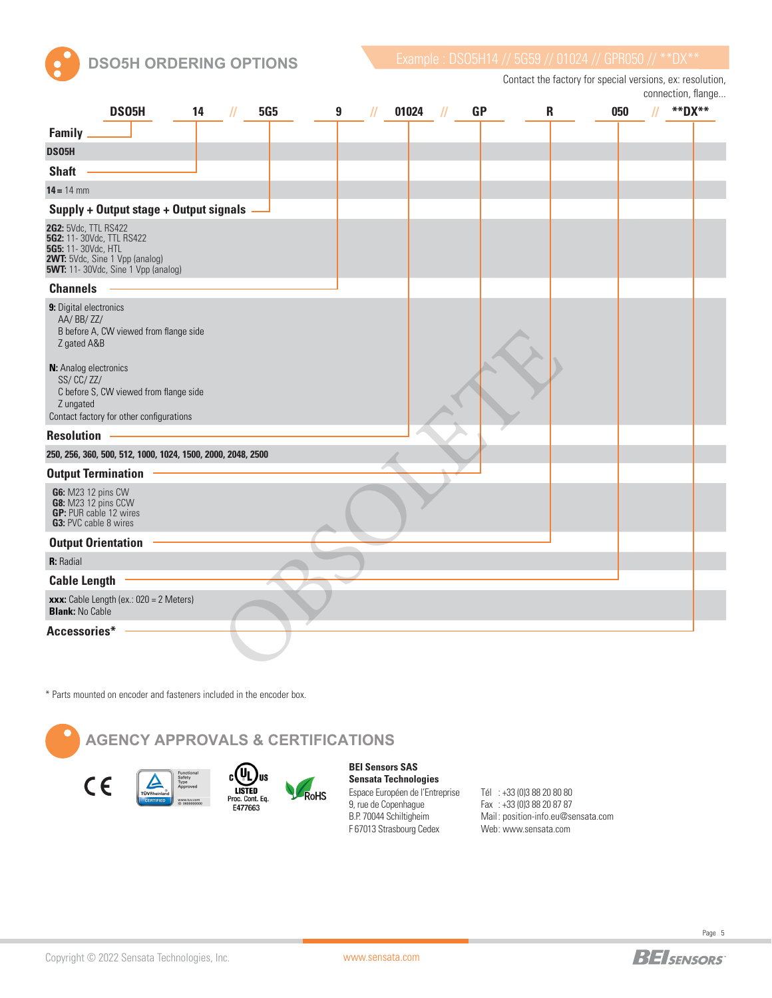

**DSO5H ORDERING OPTIONS** Example : DS05H14 // 5G59 // 01024 // GPR050 // \*\*DX\*

Contact the factory for special versions, ex: resolution, connection, flange...

| DS05H<br>14                                                                                                                                                                  | <b>5G5</b><br>11 | 9<br>// | 01024 | <b>GP</b> | R | 050 | **DX** |
|------------------------------------------------------------------------------------------------------------------------------------------------------------------------------|------------------|---------|-------|-----------|---|-----|--------|
| <b>Family</b>                                                                                                                                                                |                  |         |       |           |   |     |        |
| DS05H                                                                                                                                                                        |                  |         |       |           |   |     |        |
| <b>Shaft</b>                                                                                                                                                                 |                  |         |       |           |   |     |        |
| $14 = 14$ mm                                                                                                                                                                 |                  |         |       |           |   |     |        |
| Supply + Output stage + Output signals                                                                                                                                       |                  |         |       |           |   |     |        |
| <b>2G2:</b> 5Vdc, TTL RS422<br><b>5G2:</b> 11-30Vdc, TTL RS422<br>5G5: 11-30Vdc, HTL<br><b>2WT:</b> 5Vdc, Sine 1 Vpp (analog)<br><b>5WT:</b> 11- 30Vdc, Sine 1 Vpp (analog)  |                  |         |       |           |   |     |        |
| <b>Channels</b>                                                                                                                                                              |                  |         |       |           |   |     |        |
| 9: Digital electronics<br>AA/BB/ZZ/<br>B before A, CW viewed from flange side<br>Z gated A&B<br>N: Analog electronics<br>SS/CC/ZZ/<br>C before S, CW viewed from flange side |                  |         |       |           |   |     |        |
| Z ungated<br>Contact factory for other configurations                                                                                                                        |                  |         |       |           |   |     |        |
| <b>Resolution</b>                                                                                                                                                            |                  |         |       |           |   |     |        |
| 250, 256, 360, 500, 512, 1000, 1024, 1500, 2000, 2048, 2500                                                                                                                  |                  |         |       |           |   |     |        |
| <b>Output Termination</b>                                                                                                                                                    |                  |         |       |           |   |     |        |
| G6: M23 12 pins CW<br>G8: M23 12 pins CCW<br>GP: PUR cable 12 wires<br><b>G3: PVC cable 8 wires</b>                                                                          |                  |         |       |           |   |     |        |
| <b>Output Orientation</b>                                                                                                                                                    |                  |         |       |           |   |     |        |
| R: Radial                                                                                                                                                                    |                  |         |       |           |   |     |        |
| <b>Cable Length</b>                                                                                                                                                          |                  |         |       |           |   |     |        |
| xxx: Cable Length (ex.: 020 = 2 Meters)<br><b>Blank: No Cable</b>                                                                                                            |                  |         |       |           |   |     |        |
| Accessories*                                                                                                                                                                 |                  |         |       |           |   |     |        |

\* Parts mounted on encoder and fasteners included in the encoder box.

**AGENCY APPROVALS & CERTIFICATIONS** (Un US  $C \in$ LISTED<br>Proc. Cont. Eq.<br>E477663 RoHS

**BEI Sensors SAS Sensata Technologies** Espace Européen de l'Entreprise 9, rue de Copenhague B.P. 70044 Schiltigheim F 67013 Strasbourg Cedex

Tél : +33 (0)3 88 20 80 80 Fax : +33 (0)3 88 20 87 87 Mail : position-info.eu@sensata.com Web : www.sensata.com